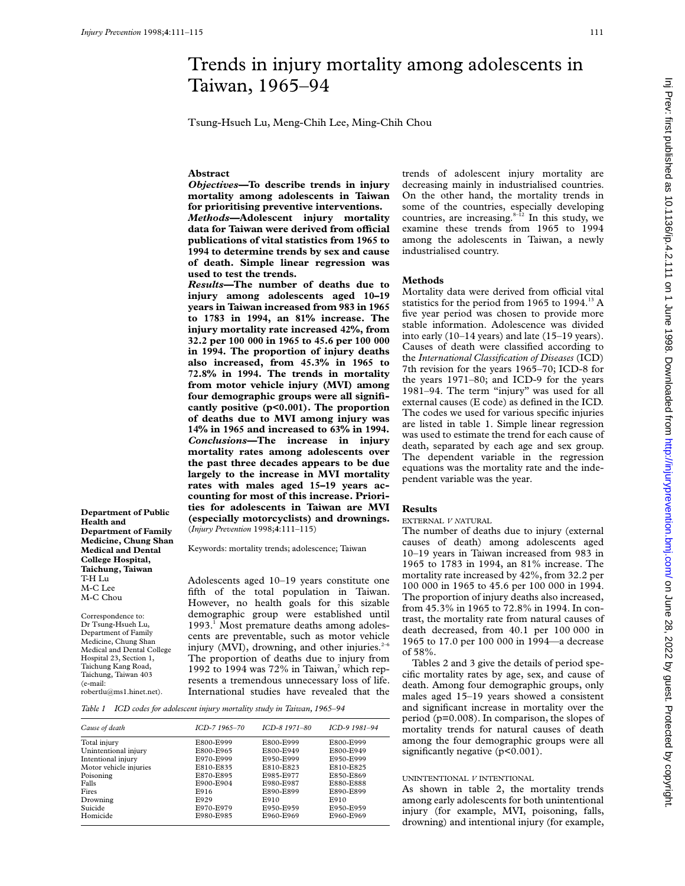# Trends in injury mortality among adolescents in Taiwan, 1965–94

Tsung-Hsueh Lu, Meng-Chih Lee, Ming-Chih Chou

# **Abstract**

*Objectives—***To describe trends in injury mortality among adolescents in Taiwan for prioritising preventive interventions.** *Methods—***Adolescent injury mortality data for Taiwan were derived from oYcial publications of vital statistics from 1965 to 1994 to determine trends by sex and cause of death. Simple linear regression was used to test the trends.**

*Results—***The number of deaths due to injury among adolescents aged 10–19 years in Taiwan increased from 983 in 1965 to 1783 in 1994, an 81% increase. The injury mortality rate increased 42%, from 32.2 per 100 000 in 1965 to 45.6 per 100 000 in 1994. The proportion of injury deaths also increased, from 45.3% in 1965 to 72.8% in 1994. The trends in mortality from motor vehicle injury (MVI) among four demographic groups were all significantly positive (p<0.001). The proportion of deaths due to MVI among injury was 14% in 1965 and increased to 63% in 1994.** *Conclusions—***The increase in injury mortality rates among adolescents over the past three decades appears to be due largely to the increase in MVI mortality rates with males aged 15–19 years accounting for most of this increase. Priorities for adolescents in Taiwan are MVI (especially motorcyclists) and drownings.** (*Injury Prevention* 1998;**4**:111–115)

**Department of Public Health and Department of Family Medicine, Chung Shan Medical and Dental College Hospital, Taichung, Taiwan** T-H Lu M-C Lee M-C Chou

Correspondence to: Dr Tsung-Hsueh Lu, Department of Family Medicine, Chung Shan Medical and Dental College Hospital 23, Section 1, Taichung Kang Road, Taichung, Taiwan 403 (e-mail: robertlu@ms1.hinet.net).

Keywords: mortality trends; adolescence; Taiwan

Adolescents aged 10–19 years constitute one fifth of the total population in Taiwan. However, no health goals for this sizable demographic group were established until 1993.<sup>1</sup> Most premature deaths among adolescents are preventable, such as motor vehicle injury (MVI), drowning, and other injuries. $2-6$ The proportion of deaths due to injury from 1992 to 1994 was  $72\%$  in Taiwan,<sup>7</sup> which represents a tremendous unnecessary loss of life. International studies have revealed that the

*Table 1 ICD codes for adolescent injury mortality study in Taiwan, 1965–94*

| Cause of death         | ICD-7 1965-70 | ICD-8 1971-80 | ICD-9 1981-94 |
|------------------------|---------------|---------------|---------------|
| Total injury           | E800-E999     | E800-E999     | E800-E999     |
| Unintentional injury   | E800-E965     | E800-E949     | E800-E949     |
| Intentional injury     | E970-E999     | E950-E999     | E950-E999     |
| Motor vehicle injuries | E810-E835     | E810-E823     | E810-E825     |
| Poisoning              | E870-E895     | E985-E977     | E850-E869     |
| Falls                  | E900-E904     | E980-E987     | E880-E888     |
| Fires                  | E916          | E890-E899     | E890-E899     |
| Drowning               | E929          | E910          | E910          |
| Suicide                | E970-E979     | E950-E959     | E950-E959     |
| Homicide               | E980-E985     | E960-E969     | E960-E969     |

trends of adolescent injury mortality are decreasing mainly in industrialised countries. On the other hand, the mortality trends in some of the countries, especially developing countries, are increasing. $8-12$  In this study, we examine these trends from 1965 to 1994 among the adolescents in Taiwan, a newly industrialised country.

## **Methods**

Mortality data were derived from official vital statistics for the period from 1965 to 1994. $\mathrm{^{13}A}$ five year period was chosen to provide more stable information. Adolescence was divided into early (10–14 years) and late (15–19 years). Causes of death were classified according to the *International Classification of Diseases* (ICD) 7th revision for the years 1965–70; ICD-8 for the years 1971–80; and ICD-9 for the years 1981–94. The term "injury" was used for all external causes (E code) as defined in the ICD. The codes we used for various specific injuries are listed in table 1. Simple linear regression was used to estimate the trend for each cause of death, separated by each age and sex group. The dependent variable in the regression equations was the mortality rate and the independent variable was the year.

# **Results**

EXTERNAL *V N*ATURAL

The number of deaths due to injury (external causes of death) among adolescents aged 10–19 years in Taiwan increased from 983 in 1965 to 1783 in 1994, an 81% increase. The mortality rate increased by 42%, from 32.2 per 100 000 in 1965 to 45.6 per 100 000 in 1994. The proportion of injury deaths also increased, from 45.3% in 1965 to 72.8% in 1994. In contrast, the mortality rate from natural causes of death decreased, from 40.1 per 100 000 in 1965 to 17.0 per 100 000 in 1994—a decrease of 58%.

Tables 2 and 3 give the details of period specific mortality rates by age, sex, and cause of death. Among four demographic groups, only males aged 15–19 years showed a consistent and significant increase in mortality over the period (p=0.008). In comparison, the slopes of mortality trends for natural causes of death among the four demographic groups were all significantly negative (p<0.001).

# UNINTENTIONAL *V* INTENTIONAL

As shown in table 2, the mortality trends among early adolescents for both unintentional injury (for example, MVI, poisoning, falls, drowning) and intentional injury (for example,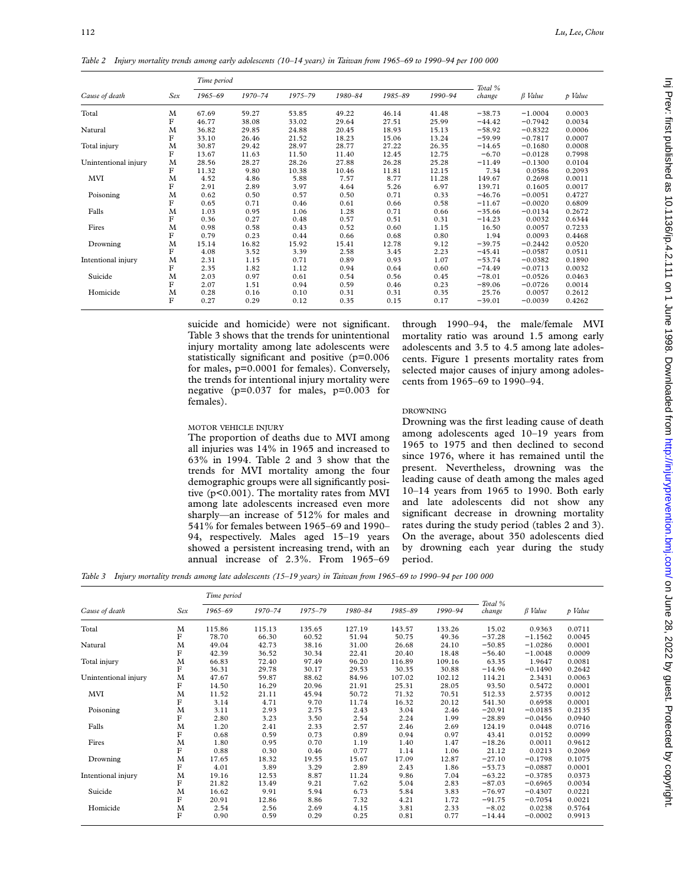*Table 2 Injury mortality trends among early adolescents (10–14 years) in Taiwan from 1965–69 to 1990–94 per 100 000*

|                      | Sex | Time period |             |             |         |         |         |                   |                                                                      |         |
|----------------------|-----|-------------|-------------|-------------|---------|---------|---------|-------------------|----------------------------------------------------------------------|---------|
| Cause of death       |     | 1965-69     | $1970 - 74$ | $1975 - 79$ | 1980-84 | 1985-89 | 1990-94 | Total %<br>change | $\beta$ Value                                                        | p Value |
| Total                | M   | 67.69       | 59.27       | 53.85       | 49.22   | 46.14   | 41.48   | $-38.73$          | $-1.0004$                                                            | 0.0003  |
|                      | F   | 46.77       | 38.08       | 33.02       | 29.64   | 27.51   | 25.99   | $-44.42$          | $-0.7942$                                                            | 0.0034  |
| Natural              | M   | 36.82       | 29.85       | 24.88       | 20.45   | 18.93   | 15.13   | $-58.92$          | $-0.8322$                                                            | 0.0006  |
|                      | F   | 33.10       | 26.46       | 21.52       | 18.23   | 15.06   | 13.24   | $-59.99$          | $-0.7817$                                                            | 0.0007  |
| Total injury         | M   | 30.87       | 29.42       | 28.97       | 28.77   | 27.22   | 26.35   | $-14.65$          | $-0.1680$                                                            | 0.0008  |
|                      | F   | 13.67       | 11.63       | 11.50       | 11.40   | 12.45   | 12.75   | $-6.70$           | $-0.0128$                                                            | 0.7998  |
| Unintentional injury | M   | 28.56       | 28.27       | 28.26       | 27.88   | 26.28   | 25.28   | $-11.49$          | $-0.1300$                                                            | 0.0104  |
|                      | F   | 11.32       | 9.80        | 10.38       | 10.46   | 11.81   | 12.15   | 7.34              | 0.0586                                                               | 0.2093  |
| MVI                  | M   | 4.52        | 4.86        | 5.88        | 7.57    | 8.77    | 11.28   | 149.67            | 0.2698                                                               | 0.0011  |
|                      | F   | 2.91        | 2.89        | 3.97        | 4.64    | 5.26    | 6.97    | 139.71            | 0.1605                                                               | 0.0017  |
| Poisoning            | M   | 0.62        | 0.50        | 0.57        | 0.50    | 0.71    | 0.33    | $-46.76$          | $-0.0051$                                                            | 0.4727  |
|                      | F   | 0.65        | 0.71        | 0.46        | 0.61    | 0.66    | 0.58    | $-11.67$          | $-0.0020$                                                            | 0.6809  |
| Falls                | M   | 1.03        | 0.95        | 1.06        | 1.28    | 0.71    | 0.66    | $-35.66$          | $-0.0134$                                                            | 0.2672  |
|                      | F   | 0.36        | 0.27        | 0.48        | 0.57    | 0.51    | 0.31    | $-14.23$          | 0.0032                                                               | 0.6344  |
| Fires                | M   | 0.98        | 0.58        | 0.43        | 0.52    | 0.60    | 1.15    | 16.50             | 0.0057<br>0.0093<br>$-0.2442$<br>$-0.0587$<br>$-0.0382$<br>$-0.0713$ | 0.7233  |
|                      | F   | 0.79        | 0.23        | 0.44        | 0.66    | 0.68    | 0.80    | 1.94              |                                                                      | 0.4468  |
| Drowning             | M   | 15.14       | 16.82       | 15.92       | 15.41   | 12.78   | 9.12    | $-39.75$          |                                                                      | 0.0520  |
|                      | F   | 4.08        | 3.52        | 3.39        | 2.58    | 3.45    | 2.23    | $-45.41$          |                                                                      | 0.0511  |
| Intentional injury   | M   | 2.31        | 1.15        | 0.71        | 0.89    | 0.93    | 1.07    | $-53.74$          |                                                                      | 0.1890  |
|                      | F   | 2.35        | 1.82        | 1.12        | 0.94    | 0.64    | 0.60    | $-74.49$          |                                                                      | 0.0032  |
| Suicide              | M   | 2.03        | 0.97        | 0.61        | 0.54    | 0.56    | 0.45    | $-78.01$          | $-0.0526$                                                            | 0.0463  |
|                      | F   | 2.07        | 1.51        | 0.94        | 0.59    | 0.46    | 0.23    | $-89.06$          | $-0.0726$                                                            | 0.0014  |
| Homicide             | M   | 0.28        | 0.16        | 0.10        | 0.31    | 0.31    | 0.35    | 25.76             | 0.0057                                                               | 0.2612  |
|                      | F   | 0.27        | 0.29        | 0.12        | 0.35    | 0.15    | 0.17    | $-39.01$          | $-0.0039$                                                            | 0.4262  |

suicide and homicide) were not significant. Table 3 shows that the trends for unintentional injury mortality among late adolescents were statistically significant and positive (p=0.006 for males, p=0.0001 for females). Conversely, the trends for intentional injury mortality were negative (p=0.037 for males, p=0.003 for females).

The proportion of deaths due to MVI among all injuries was 14% in 1965 and increased to 63% in 1994. Table 2 and 3 show that the trends for MVI mortality among the four demographic groups were all significantly positive (p<0.001). The mortality rates from MVI among late adolescents increased even more sharply—an increase of 512% for males and 541% for females between 1965–69 and 1990– 94, respectively. Males aged 15–19 years showed a persistent increasing trend, with an

MOTOR VEHICLE INJURY

through 1990–94, the male/female MVI mortality ratio was around 1.5 among early adolescents and 3.5 to 4.5 among late adolescents. Figure 1 presents mortality rates from selected major causes of injury among adolescents from 1965–69 to 1990–94.

# DROWNING

Drowning was the first leading cause of death among adolescents aged 10–19 years from 1965 to 1975 and then declined to second since 1976, where it has remained until the present. Nevertheless, drowning was the leading cause of death among the males aged 10–14 years from 1965 to 1990. Both early and late adolescents did not show any significant decrease in drowning mortality rates during the study period (tables 2 and 3). On the average, about 350 adolescents died by drowning each year during the study period.

annual increase of 2.3%. From 1965–69 *Table 3 Injury mortality trends among late adolescents (15–19 years) in Taiwan from 1965–69 to 1990–94 per 100 000*

| Cause of death       | Sex     | Time period |             |         |         |         |         |                   |               |         |
|----------------------|---------|-------------|-------------|---------|---------|---------|---------|-------------------|---------------|---------|
|                      |         | $1965 - 69$ | $1970 - 74$ | 1975-79 | 1980-84 | 1985-89 | 1990-94 | Total %<br>change | $\beta$ Value | p Value |
| Total                | M       | 115.86      | 115.13      | 135.65  | 127.19  | 143.57  | 133.26  | 15.02             | 0.9363        | 0.0711  |
|                      | $\rm F$ | 78.70       | 66.30       | 60.52   | 51.94   | 50.75   | 49.36   | $-37.28$          | $-1.1562$     | 0.0045  |
| Natural              | M       | 49.04       | 42.73       | 38.16   | 31.00   | 26.68   | 24.10   | $-50.85$          | $-1.0286$     | 0.0001  |
|                      | F       | 42.39       | 36.52       | 30.34   | 22.41   | 20.40   | 18.48   | $-56.40$          | $-1.0048$     | 0.0009  |
| Total injury         | M       | 66.83       | 72.40       | 97.49   | 96.20   | 116.89  | 109.16  | 63.35             | 1.9647        | 0.0081  |
|                      | F       | 36.31       | 29.78       | 30.17   | 29.53   | 30.35   | 30.88   | $-14.96$          | $-0.1490$     | 0.2642  |
| Unintentional injury | M       | 47.67       | 59.87       | 88.62   | 84.96   | 107.02  | 102.12  | 114.21            | 2.3431        | 0.0063  |
|                      | F       | 14.50       | 16.29       | 20.96   | 21.91   | 25.31   | 28.05   | 93.50             | 0.5472        | 0.0001  |
| MVI                  | M       | 11.52       | 21.11       | 45.94   | 50.72   | 71.32   | 70.51   | 512.33            | 2.5735        | 0.0012  |
|                      | F       | 3.14        | 4.71        | 9.70    | 11.74   | 16.32   | 20.12   | 541.30            | 0.6958        | 0.0001  |
| Poisoning            | M       | 3.11        | 2.93        | 2.75    | 2.43    | 3.04    | 2.46    | $-20.91$          | $-0.0185$     | 0.2135  |
|                      | F       | 2.80        | 3.23        | 3.50    | 2.54    | 2.24    | 1.99    | $-28.89$          | $-0.0456$     | 0.0940  |
| Falls                | M       | 1.20        | 2.41        | 2.33    | 2.57    | 2.46    | 2.69    | 124.19            | 0.0448        | 0.0716  |
|                      | F       | 0.68        | 0.59        | 0.73    | 0.89    | 0.94    | 0.97    | 43.41             | 0.0152        | 0.0099  |
| Fires                | M       | 1.80        | 0.95        | 0.70    | 1.19    | 1.40    | 1.47    | $-18.26$          | 0.0011        | 0.9612  |
|                      | F       | 0.88        | 0.30        | 0.46    | 0.77    | 1.14    | 1.06    | 21.12             | 0.0213        | 0.2069  |
| Drowning             | M       | 17.65       | 18.32       | 19.55   | 15.67   | 17.09   | 12.87   | $-27.10$          | $-0.1798$     | 0.1075  |
|                      | F       | 4.01        | 3.89        | 3.29    | 2.89    | 2.43    | 1.86    | $-53.73$          | $-0.0887$     | 0.0001  |
| Intentional injury   | M       | 19.16       | 12.53       | 8.87    | 11.24   | 9.86    | 7.04    | $-63.22$          | $-0.3785$     | 0.0373  |
|                      | F       | 21.82       | 13.49       | 9.21    | 7.62    | 5.04    | 2.83    | $-87.03$          | $-0.6965$     | 0.0034  |
| Suicide              | M       | 16.62       | 9.91        | 5.94    | 6.73    | 5.84    | 3.83    | $-76.97$          | $-0.4307$     | 0.0221  |
|                      | F       | 20.91       | 12.86       | 8.86    | 7.32    | 4.21    | 1.72    | $-91.75$          | $-0.7054$     | 0.0021  |
| Homicide             | M       | 2.54        | 2.56        | 2.69    | 4.15    | 3.81    | 2.33    | $-8.02$           | 0.0238        | 0.5764  |
|                      | F       | 0.90        | 0.59        | 0.29    | 0.25    | 0.81    | 0.77    | $-14.44$          | $-0.0002$     | 0.9913  |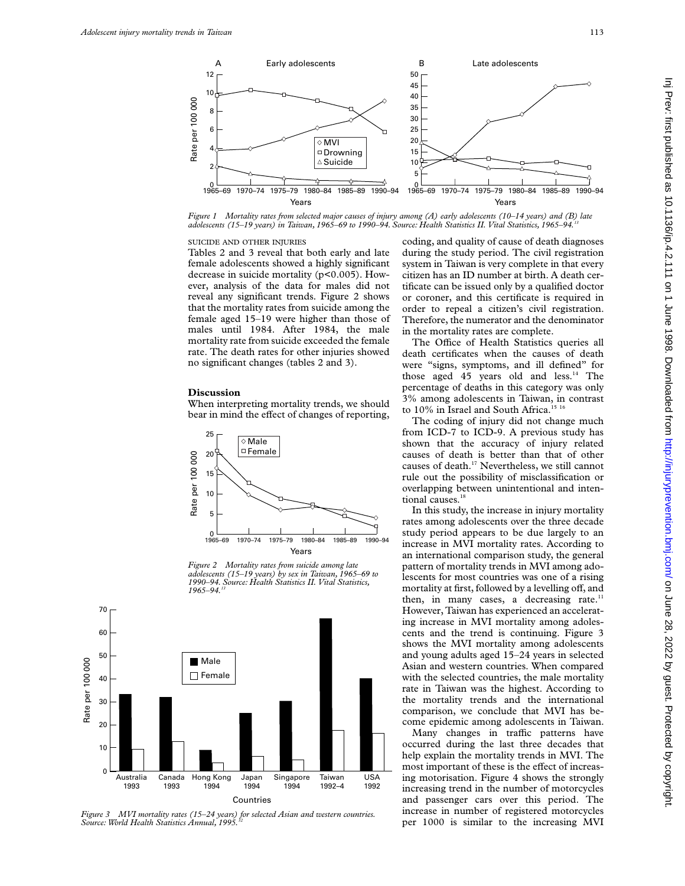

*Figure 1 Mortality rates from selected major causes of injury among (A) early adolescents (10–14 years) and (B) late adolescents (15–19 years) in Taiwan, 1965–69 to 1990–94. Source: Health Statistics II. Vital Statistics, 1965–94.13*

#### SUICIDE AND OTHER INJURIES

Tables 2 and 3 reveal that both early and late female adolescents showed a highly significant decrease in suicide mortality (p<0.005). However, analysis of the data for males did not reveal any significant trends. Figure 2 shows that the mortality rates from suicide among the female aged 15–19 were higher than those of males until 1984. After 1984, the male mortality rate from suicide exceeded the female rate. The death rates for other injuries showed no significant changes (tables 2 and 3).

# **Discussion**

When interpreting mortality trends, we should bear in mind the effect of changes of reporting,



*Figure 2 Mortality rates from suicide among late adolescents (15–19 years) by sex in Taiwan, 1965–69 to 1990–94. Source: Health Statistics II. Vital Statistics, 1965–94.13*



*Figure 3 MVI mortality rates (15–24 years) for selected Asian and western countries.* Source: World Health Statistics Annual, 1995.

coding, and quality of cause of death diagnoses during the study period. The civil registration system in Taiwan is very complete in that every citizen has an ID number at birth. A death certificate can be issued only by a qualified doctor or coroner, and this certificate is required in order to repeal a citizen's civil registration. Therefore, the numerator and the denominator in the mortality rates are complete.

The Office of Health Statistics queries all death certificates when the causes of death were "signs, symptoms, and ill defined" for those aged 45 years old and less.<sup>14</sup> The percentage of deaths in this category was only 3% among adolescents in Taiwan, in contrast to 10% in Israel and South Africa.<sup>15 16</sup>

The coding of injury did not change much from ICD-7 to ICD-9. A previous study has shown that the accuracy of injury related causes of death is better than that of other causes of death.17 Nevertheless, we still cannot rule out the possibility of misclassification or overlapping between unintentional and intentional causes.<sup>18</sup>

In this study, the increase in injury mortality rates among adolescents over the three decade study period appears to be due largely to an increase in MVI mortality rates. According to an international comparison study, the general pattern of mortality trends in MVI among adolescents for most countries was one of a rising mortality at first, followed by a levelling off, and then, in many cases, a decreasing rate. $11$ However, Taiwan has experienced an accelerating increase in MVI mortality among adolescents and the trend is continuing. Figure 3 shows the MVI mortality among adolescents and young adults aged 15–24 years in selected Asian and western countries. When compared with the selected countries, the male mortality rate in Taiwan was the highest. According to the mortality trends and the international comparison, we conclude that MVI has become epidemic among adolescents in Taiwan.

Many changes in traffic patterns have occurred during the last three decades that help explain the mortality trends in MVI. The most important of these is the effect of increasing motorisation. Figure 4 shows the strongly increasing trend in the number of motorcycles and passenger cars over this period. The increase in number of registered motorcycles per 1000 is similar to the increasing MVI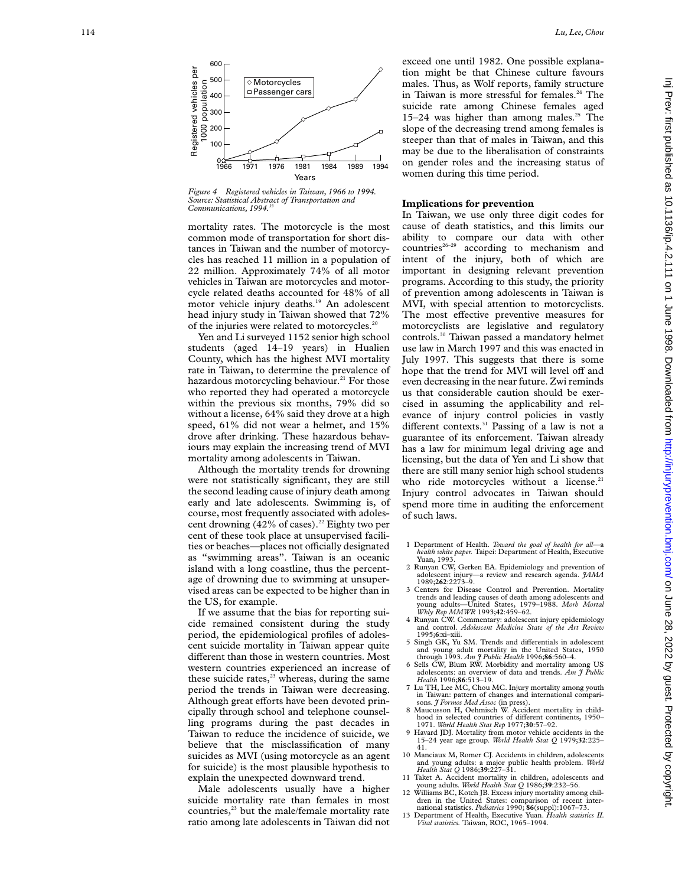

*Figure 4 Registered vehicles in Taiwan, 1966 to 1994. Source: Statistical Abstract of Transportation and* Communications, 1994.<sup>33</sup>

mortality rates. The motorcycle is the most common mode of transportation for short distances in Taiwan and the number of motorcycles has reached 11 million in a population of 22 million. Approximately 74% of all motor vehicles in Taiwan are motorcycles and motorcycle related deaths accounted for 48% of all motor vehicle injury deaths.<sup>19</sup> An adolescent head injury study in Taiwan showed that 72% of the injuries were related to motorcycles.<sup>20</sup>

Yen and Li surveyed 1152 senior high school students (aged 14–19 years) in Hualien County, which has the highest MVI mortality rate in Taiwan, to determine the prevalence of hazardous motorcycling behaviour.<sup>21</sup> For those who reported they had operated a motorcycle within the previous six months, 79% did so without a license, 64% said they drove at a high speed, 61% did not wear a helmet, and 15% drove after drinking. These hazardous behaviours may explain the increasing trend of MVI mortality among adolescents in Taiwan.

Although the mortality trends for drowning were not statistically significant, they are still the second leading cause of injury death among early and late adolescents. Swimming is, of course, most frequently associated with adolescent drowning  $(42\% \text{ of cases})^{22}$  Eighty two per cent of these took place at unsupervised facilities or beaches—places not officially designated as "swimming areas". Taiwan is an oceanic island with a long coastline, thus the percentage of drowning due to swimming at unsupervised areas can be expected to be higher than in the US, for example.

If we assume that the bias for reporting suicide remained consistent during the study period, the epidemiological profiles of adolescent suicide mortality in Taiwan appear quite different than those in western countries. Most western countries experienced an increase of these suicide rates, $^{23}$  whereas, during the same period the trends in Taiwan were decreasing. .<br>Although great efforts have been devoted principally through school and telephone counselling programs during the past decades in Taiwan to reduce the incidence of suicide, we believe that the misclassification of many suicides as MVI (using motorcycle as an agent for suicide) is the most plausible hypothesis to explain the unexpected downward trend.

Male adolescents usually have a higher suicide mortality rate than females in most countries,<sup>23</sup> but the male/female mortality rate ratio among late adolescents in Taiwan did not

exceed one until 1982. One possible explanation might be that Chinese culture favours males. Thus, as Wolf reports, family structure in Taiwan is more stressful for females.<sup>24</sup> The suicide rate among Chinese females aged 15–24 was higher than among males.<sup>25</sup> The slope of the decreasing trend among females is steeper than that of males in Taiwan, and this may be due to the liberalisation of constraints on gender roles and the increasing status of women during this time period.

# **Implications for prevention**

In Taiwan, we use only three digit codes for cause of death statistics, and this limits our ability to compare our data with other countries<sup>26-29</sup> according to mechanism and intent of the injury, both of which are important in designing relevant prevention programs. According to this study, the priority of prevention among adolescents in Taiwan is MVI, with special attention to motorcyclists. The most effective preventive measures for motorcyclists are legislative and regulatory controls.30 Taiwan passed a mandatory helmet use law in March 1997 and this was enacted in July 1997. This suggests that there is some hope that the trend for MVI will level off and even decreasing in the near future. Zwi reminds us that considerable caution should be exercised in assuming the applicability and relevance of injury control policies in vastly different contexts.<sup>31</sup> Passing of a law is not a guarantee of its enforcement. Taiwan already has a law for minimum legal driving age and licensing, but the data of Yen and Li show that there are still many senior high school students who ride motorcycles without a license. $21$ Injury control advocates in Taiwan should spend more time in auditing the enforcement of such laws.

- 1 Department of Health. *Toward the goal of health for all—* a *health white paper.* Taipei: Department of Health, Executive Yuan, 1993.
- 2 Runyan CW, Gerken EA. Epidemiology and prevention of adolescent injury—a review and research agenda. *JAMA* 1989;**262**:2273–9.
- 3 Centers for Disease Control and Prevention. Mortality trends and leading causes of death among adolescents and young adults—United States, 1979–1988. *Morb Mortal Wkly Rep MMWR* 1993;**42**:459–62.
- 4 Runyan CW. Commentary: adolescent injury epidemiology and control. *Adolescent Medicine State of the Art Review* 1995; **6**:xi–xiii.
- 5 Singh GK, Yu SM. Trends and di Verentials in adolescent and young adult mortality in the United States, 1950 through 1993. *Am J Public Health* 1996;**86**:560–4.
- Sells CW, Blum RW. Morbidity and mortality among US adolescents: an overview of data and trends. *Am J Public Health* 1996;**86**:513–19.
- 7 Lu TH, Lee MC, Chou MC. Injury mortality among youth in Taiwan: pattern of changes and international comparisons. *J Formos Med Assoc* (in press).
- 8 Maucusson H, Oehmisch W. Accident mortality in childhood in selected countries of different continents, 1950-1971. *World Health Stat Rep* 1977;**30**:57–92.
- 9 Havard JDJ. Mortality from motor vehicle accidents in the 15–24 year age group. *World Health Stat Q* 1979;**32**:225– 41.
- 10 Manciaux M, Romer CJ. Accidents in children, adolescents and young adults: a major public health problem. *World Health Stat Q* 1986;**39**:227–31.
- 11 Taket A. Accident mortality in children, adolescents and young adults. *World Health Stat Q* 1986;**39**:232–56.
- 12 Williams BC, Kotch JB. Excess injury mortality among chil-dren in the United States: comparison of recent inter-
- national statistics. *Pediatrics* 1990; **86**(suppl):1067–73. 13 Department of Health, Executive Yuan. *Health statistics II. Vital statistics.* Taiwan, ROC, 1965–1994.